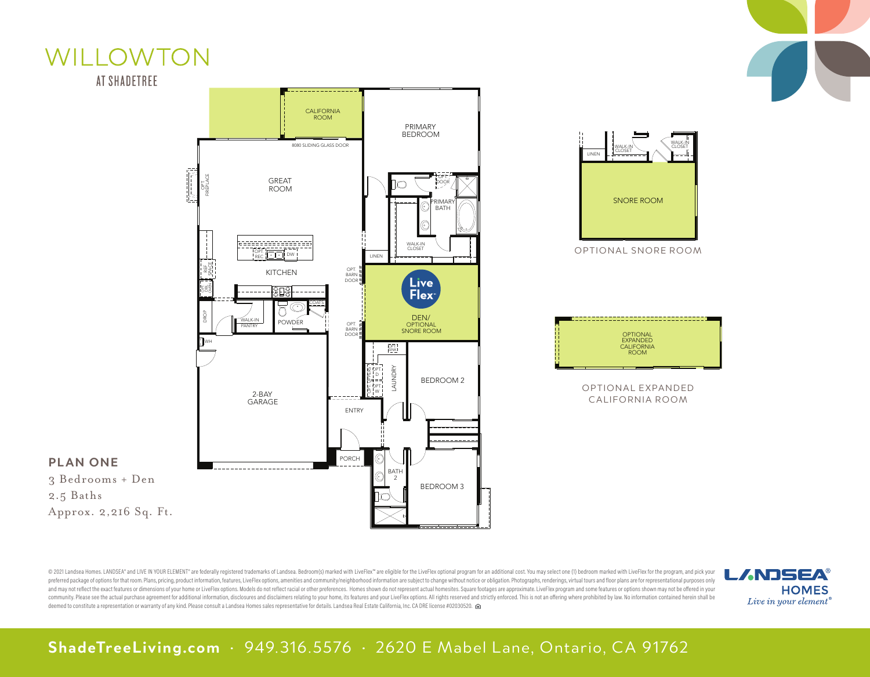



WILLOWTON

OPTIONAL SNORE ROOM SNORE ROOM WALK-IN CLOSET WALK-IN CLOSET LINEN

| <b>OPTIONAL</b><br><b>EXPANDED</b><br><b>CALIFORNIA</b><br><b>ROOM</b> |  |  |
|------------------------------------------------------------------------|--|--|
|                                                                        |  |  |
|                                                                        |  |  |
|                                                                        |  |  |
|                                                                        |  |  |

OPTIONAL EXPANDED CALIFORNIA ROOM

@ 2021 Landsea Homes. LANDSEA" and LIVE IN YOUR ELEMENT" are federally registered trademarks of Landsea. Bedroom(s) marked with LiveFlex" are eligible for the LiveFlex optional program for an additional cost. You may selec preferred package of options for that room. Plans, pricing, product information, features, LiveFlex options, amenities and community/neighborhood information are subject to change without notice or obligation. Photographs, and may not reflect the exact features or dimensions of your home or LiveFlex options. Models do not reflect racial or other preferences. Homes shown do not represent actual homesites. Square footages are approximate. Live community. Please see the actual purchase agreement for additional information, disclosures and disclaimers relating to your home, its features and your LiveFlex options. All rights reserved and strictly enforced. This is deemed to constitute a representation or warranty of any kind. Please consult a Landsea Homes sales representative for details. Landsea Real Estate California, Inc. CA DRE license #02030520.



OPTIONS